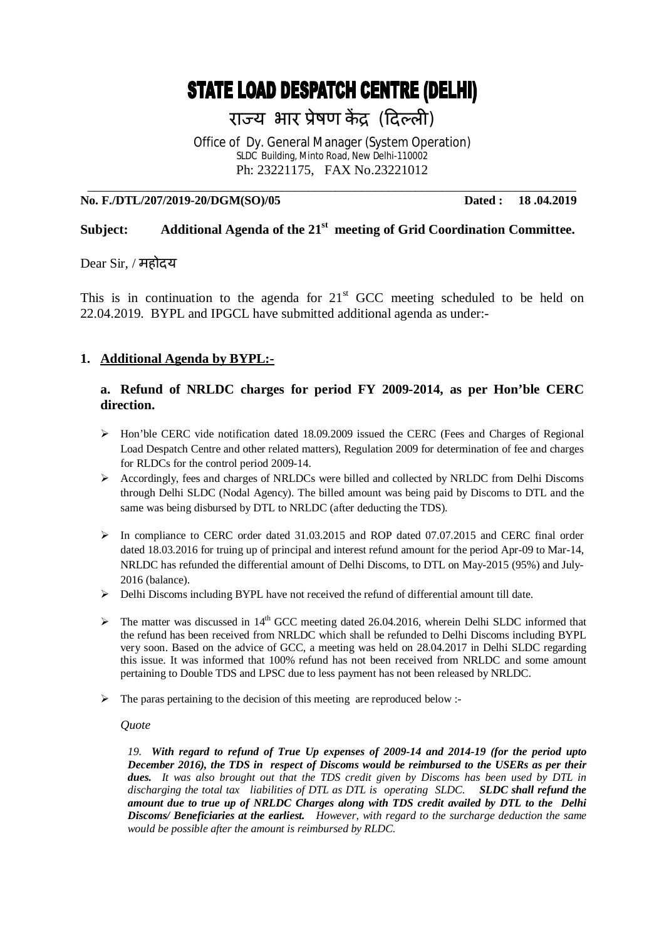# **STATE LOAD DESPATCH CENTRE (DELHI)**

राज्य भार प्रेषण केंद्र (दिल्ली)

Office of Dy. General Manager (System Operation) SLDC Building, Minto Road, New Delhi-110002 Ph: 23221175, FAX No.23221012

#### **No. F./DTL/207/2019-20/DGM(SO)/05 Dated : 18 .04.2019**

\_\_\_\_\_\_\_\_\_\_\_\_\_\_\_\_\_\_\_\_\_\_\_\_\_\_\_\_\_\_\_\_\_\_\_\_\_\_\_\_\_\_\_\_\_\_\_\_\_\_\_\_\_\_\_\_\_\_\_\_\_\_\_\_\_\_\_\_\_\_\_\_\_

# **Subject: Additional Agenda of the 21st meeting of Grid Coordination Committee.**

#### Dear Sir, / महोदय

This is in continuation to the agenda for  $21<sup>st</sup>$  GCC meeting scheduled to be held on 22.04.2019. BYPL and IPGCL have submitted additional agenda as under:-

## **1. Additional Agenda by BYPL:-**

## **a. Refund of NRLDC charges for period FY 2009-2014, as per Hon'ble CERC direction.**

- $\triangleright$  Hon'ble CERC vide notification dated 18.09.2009 issued the CERC (Fees and Charges of Regional Load Despatch Centre and other related matters), Regulation 2009 for determination of fee and charges for RLDCs for the control period 2009-14.
- Accordingly, fees and charges of NRLDCs were billed and collected by NRLDC from Delhi Discoms through Delhi SLDC (Nodal Agency). The billed amount was being paid by Discoms to DTL and the same was being disbursed by DTL to NRLDC (after deducting the TDS).
- $\triangleright$  In compliance to CERC order dated 31.03.2015 and ROP dated 07.07.2015 and CERC final order dated 18.03.2016 for truing up of principal and interest refund amount for the period Apr-09 to Mar-14, NRLDC has refunded the differential amount of Delhi Discoms, to DTL on May-2015 (95%) and July-2016 (balance).
- Delhi Discoms including BYPL have not received the refund of differential amount till date.
- $\triangleright$  The matter was discussed in 14<sup>th</sup> GCC meeting dated 26.04.2016, wherein Delhi SLDC informed that the refund has been received from NRLDC which shall be refunded to Delhi Discoms including BYPL very soon. Based on the advice of GCC, a meeting was held on 28.04.2017 in Delhi SLDC regarding this issue. It was informed that 100% refund has not been received from NRLDC and some amount pertaining to Double TDS and LPSC due to less payment has not been released by NRLDC.
- $\triangleright$  The paras pertaining to the decision of this meeting are reproduced below :-

#### *Quote*

*19. With regard to refund of True Up expenses of 2009-14 and 2014-19 (for the period upto December 2016), the TDS in respect of Discoms would be reimbursed to the USERs as per their dues. It was also brought out that the TDS credit given by Discoms has been used by DTL in discharging the total tax liabilities of DTL as DTL is operating SLDC. SLDC shall refund the amount due to true up of NRLDC Charges along with TDS credit availed by DTL to the Delhi Discoms/ Beneficiaries at the earliest. However, with regard to the surcharge deduction the same would be possible after the amount is reimbursed by RLDC.*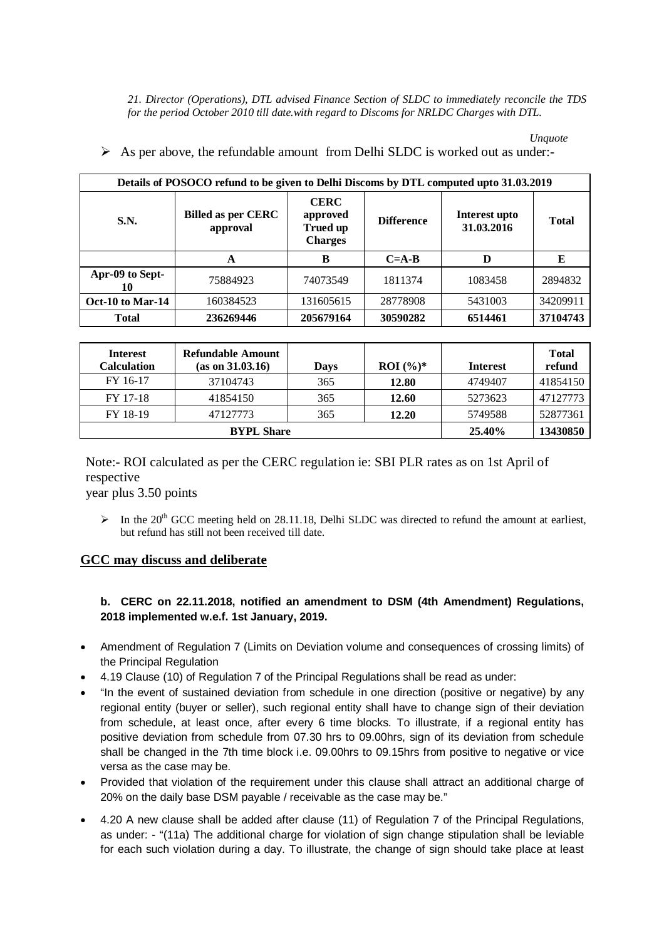*21. Director (Operations), DTL advised Finance Section of SLDC to immediately reconcile the TDS for the period October 2010 till date.with regard to Discoms for NRLDC Charges with DTL.*

*Unquote*

| Details of POSOCO refund to be given to Delhi Discoms by DTL computed upto 31.03.2019 |                                       |                                                              |                   |                             |              |  |  |
|---------------------------------------------------------------------------------------|---------------------------------------|--------------------------------------------------------------|-------------------|-----------------------------|--------------|--|--|
| <b>S.N.</b>                                                                           | <b>Billed as per CERC</b><br>approval | <b>CERC</b><br>approved<br><b>Trued up</b><br><b>Charges</b> | <b>Difference</b> | Interest upto<br>31.03.2016 | <b>Total</b> |  |  |
|                                                                                       | A                                     | B                                                            | $C = A - B$       | D                           | E            |  |  |
| Apr-09 to Sept-<br>10                                                                 | 75884923                              | 74073549                                                     | 1811374           | 1083458                     | 2894832      |  |  |
| Oct-10 to Mar-14                                                                      | 160384523                             | 131605615                                                    | 28778908          | 5431003                     | 34209911     |  |  |
| <b>Total</b>                                                                          | 236269446                             | 205679164                                                    | 30590282          | 6514461                     | 37104743     |  |  |
|                                                                                       |                                       |                                                              |                   |                             |              |  |  |

 $\triangleright$  As per above, the refundable amount from Delhi SLDC is worked out as under:-

| <b>Interest</b><br><b>Calculation</b> | Refundable Amount<br>(as on 31.03.16) | Days     | <b>ROI</b> $(\%)^*$ | <b>Interest</b> | <b>Total</b><br>refund |
|---------------------------------------|---------------------------------------|----------|---------------------|-----------------|------------------------|
| FY 16-17                              | 37104743                              | 365      | 12.80               | 4749407         | 41854150               |
| FY 17-18                              | 41854150                              | 365      | 12.60               | 5273623         | 47127773               |
| FY 18-19                              | 47127773                              | 365      | 12.20               | 5749588         | 52877361               |
|                                       | 25.40%                                | 13430850 |                     |                 |                        |

Note:- ROI calculated as per the CERC regulation ie: SBI PLR rates as on 1st April of respective

year plus 3.50 points

 $\triangleright$  In the 20<sup>th</sup> GCC meeting held on 28.11.18, Delhi SLDC was directed to refund the amount at earliest, but refund has still not been received till date.

# **GCC may discuss and deliberate**

## **b. CERC on 22.11.2018, notified an amendment to DSM (4th Amendment) Regulations, 2018 implemented w.e.f. 1st January, 2019.**

- Amendment of Regulation 7 (Limits on Deviation volume and consequences of crossing limits) of the Principal Regulation
- 4.19 Clause (10) of Regulation 7 of the Principal Regulations shall be read as under:
- "In the event of sustained deviation from schedule in one direction (positive or negative) by any regional entity (buyer or seller), such regional entity shall have to change sign of their deviation from schedule, at least once, after every 6 time blocks. To illustrate, if a regional entity has positive deviation from schedule from 07.30 hrs to 09.00hrs, sign of its deviation from schedule shall be changed in the 7th time block i.e. 09.00hrs to 09.15hrs from positive to negative or vice versa as the case may be.
- Provided that violation of the requirement under this clause shall attract an additional charge of 20% on the daily base DSM payable / receivable as the case may be."
- 4.20 A new clause shall be added after clause (11) of Regulation 7 of the Principal Regulations, as under: - "(11a) The additional charge for violation of sign change stipulation shall be leviable for each such violation during a day. To illustrate, the change of sign should take place at least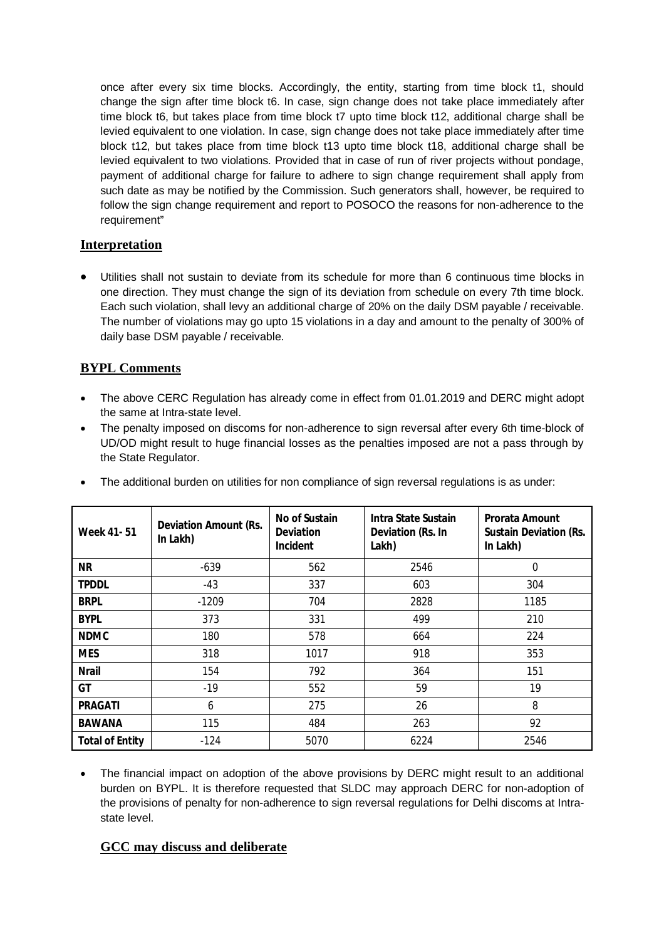once after every six time blocks. Accordingly, the entity, starting from time block t1, should change the sign after time block t6. In case, sign change does not take place immediately after time block t6, but takes place from time block t7 upto time block t12, additional charge shall be levied equivalent to one violation. In case, sign change does not take place immediately after time block t12, but takes place from time block t13 upto time block t18, additional charge shall be levied equivalent to two violations. Provided that in case of run of river projects without pondage, payment of additional charge for failure to adhere to sign change requirement shall apply from such date as may be notified by the Commission. Such generators shall, however, be required to follow the sign change requirement and report to POSOCO the reasons for non-adherence to the requirement"

# **Interpretation**

 Utilities shall not sustain to deviate from its schedule for more than 6 continuous time blocks in one direction. They must change the sign of its deviation from schedule on every 7th time block. Each such violation, shall levy an additional charge of 20% on the daily DSM payable / receivable. The number of violations may go upto 15 violations in a day and amount to the penalty of 300% of daily base DSM payable / receivable.

# **BYPL Comments**

- The above CERC Regulation has already come in effect from 01.01.2019 and DERC might adopt the same at Intra-state level.
- The penalty imposed on discoms for non-adherence to sign reversal after every 6th time-block of UD/OD might result to huge financial losses as the penalties imposed are not a pass through by the State Regulator.

| <b>Week 41-51</b>      | <b>Deviation Amount (Rs.</b><br>In Lakh) | No of Sustain<br><b>Deviation</b><br><b>Incident</b> | Intra State Sustain<br>Deviation (Rs. In<br>Lakh) | <b>Prorata Amount</b><br><b>Sustain Deviation (Rs.</b><br>In Lakh) |
|------------------------|------------------------------------------|------------------------------------------------------|---------------------------------------------------|--------------------------------------------------------------------|
| <b>NR</b>              | $-639$                                   | 562                                                  | 2546                                              | 0                                                                  |
| <b>TPDDL</b>           | -43                                      | 337                                                  | 603                                               | 304                                                                |
| <b>BRPL</b>            | $-1209$                                  | 704                                                  | 2828                                              | 1185                                                               |
| <b>BYPL</b>            | 373                                      | 331                                                  | 499                                               | 210                                                                |
| <b>NDMC</b>            | 180                                      | 578                                                  | 664                                               | 224                                                                |
| <b>MES</b>             | 318                                      | 1017                                                 | 918                                               | 353                                                                |
| <b>Nrail</b>           | 154                                      | 792                                                  | 364                                               | 151                                                                |
| GT                     | $-19$                                    | 552                                                  | 59                                                | 19                                                                 |
| <b>PRAGATI</b>         | 6                                        | 275                                                  | 26                                                | 8                                                                  |
| <b>BAWANA</b>          | 115                                      | 484                                                  | 263                                               | 92                                                                 |
| <b>Total of Entity</b> | $-124$                                   | 5070                                                 | 6224                                              | 2546                                                               |

 The financial impact on adoption of the above provisions by DERC might result to an additional burden on BYPL. It is therefore requested that SLDC may approach DERC for non-adoption of the provisions of penalty for non-adherence to sign reversal regulations for Delhi discoms at Intrastate level.

#### **GCC may discuss and deliberate**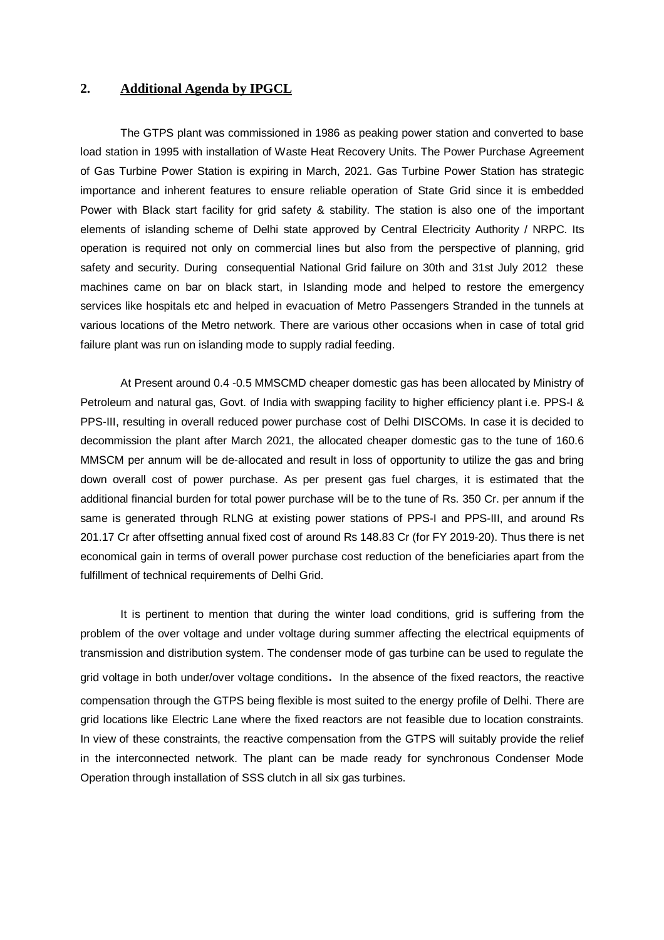#### **2. Additional Agenda by IPGCL**

The GTPS plant was commissioned in 1986 as peaking power station and converted to base load station in 1995 with installation of Waste Heat Recovery Units. The Power Purchase Agreement of Gas Turbine Power Station is expiring in March, 2021. Gas Turbine Power Station has strategic importance and inherent features to ensure reliable operation of State Grid since it is embedded Power with Black start facility for grid safety & stability. The station is also one of the important elements of islanding scheme of Delhi state approved by Central Electricity Authority / NRPC. Its operation is required not only on commercial lines but also from the perspective of planning, grid safety and security. During consequential National Grid failure on 30th and 31st July 2012 these machines came on bar on black start, in Islanding mode and helped to restore the emergency services like hospitals etc and helped in evacuation of Metro Passengers Stranded in the tunnels at various locations of the Metro network. There are various other occasions when in case of total grid failure plant was run on islanding mode to supply radial feeding.

At Present around 0.4 -0.5 MMSCMD cheaper domestic gas has been allocated by Ministry of Petroleum and natural gas, Govt. of India with swapping facility to higher efficiency plant i.e. PPS-I & PPS-III, resulting in overall reduced power purchase cost of Delhi DISCOMs. In case it is decided to decommission the plant after March 2021, the allocated cheaper domestic gas to the tune of 160.6 MMSCM per annum will be de-allocated and result in loss of opportunity to utilize the gas and bring down overall cost of power purchase. As per present gas fuel charges, it is estimated that the additional financial burden for total power purchase will be to the tune of Rs. 350 Cr. per annum if the same is generated through RLNG at existing power stations of PPS-I and PPS-III, and around Rs 201.17 Cr after offsetting annual fixed cost of around Rs 148.83 Cr (for FY 2019-20). Thus there is net economical gain in terms of overall power purchase cost reduction of the beneficiaries apart from the fulfillment of technical requirements of Delhi Grid.

It is pertinent to mention that during the winter load conditions, grid is suffering from the problem of the over voltage and under voltage during summer affecting the electrical equipments of transmission and distribution system. The condenser mode of gas turbine can be used to regulate the grid voltage in both under/over voltage conditions. In the absence of the fixed reactors, the reactive compensation through the GTPS being flexible is most suited to the energy profile of Delhi. There are grid locations like Electric Lane where the fixed reactors are not feasible due to location constraints. In view of these constraints, the reactive compensation from the GTPS will suitably provide the relief in the interconnected network. The plant can be made ready for synchronous Condenser Mode Operation through installation of SSS clutch in all six gas turbines.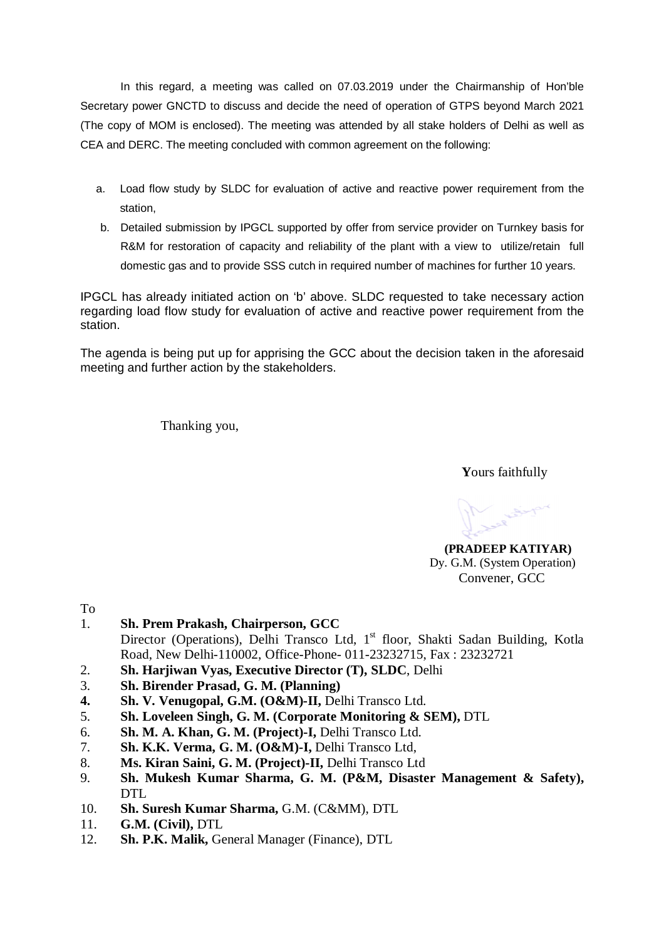In this regard, a meeting was called on 07.03.2019 under the Chairmanship of Hon'ble Secretary power GNCTD to discuss and decide the need of operation of GTPS beyond March 2021 (The copy of MOM is enclosed). The meeting was attended by all stake holders of Delhi as well as CEA and DERC. The meeting concluded with common agreement on the following:

- a. Load flow study by SLDC for evaluation of active and reactive power requirement from the station,
- b. Detailed submission by IPGCL supported by offer from service provider on Turnkey basis for R&M for restoration of capacity and reliability of the plant with a view to utilize/retain full domestic gas and to provide SSS cutch in required number of machines for further 10 years.

IPGCL has already initiated action on 'b' above. SLDC requested to take necessary action regarding load flow study for evaluation of active and reactive power requirement from the station.

The agenda is being put up for apprising the GCC about the decision taken in the aforesaid meeting and further action by the stakeholders.

Thanking you,

 **Y**ours faithfully

 **(PRADEEP KATIYAR)** Dy. G.M. (System Operation) Convener, GCC

To

- 1. **Sh. Prem Prakash, Chairperson, GCC** Director (Operations), Delhi Transco Ltd, 1<sup>st</sup> floor, Shakti Sadan Building, Kotla Road, New Delhi-110002, Office-Phone- 011-23232715, Fax : 23232721
- 2. **Sh. Harjiwan Vyas, Executive Director (T), SLDC**, Delhi
- 3. **Sh. Birender Prasad, G. M. (Planning)**
- **4. Sh. V. Venugopal, G.M. (O&M)-II,** Delhi Transco Ltd.
- 5. **Sh. Loveleen Singh, G. M. (Corporate Monitoring & SEM),** DTL
- 6. **Sh. M. A. Khan, G. M. (Project)-I,** Delhi Transco Ltd.
- 7. **Sh. K.K. Verma, G. M. (O&M)-I,** Delhi Transco Ltd,
- 8. **Ms. Kiran Saini, G. M. (Project)-II,** Delhi Transco Ltd
- 9. **Sh. Mukesh Kumar Sharma, G. M. (P&M, Disaster Management & Safety),**  DTL
- 10. **Sh. Suresh Kumar Sharma,** G.M. (C&MM), DTL
- 11. **G.M. (Civil),** DTL
- 12. **Sh. P.K. Malik,** General Manager (Finance), DTL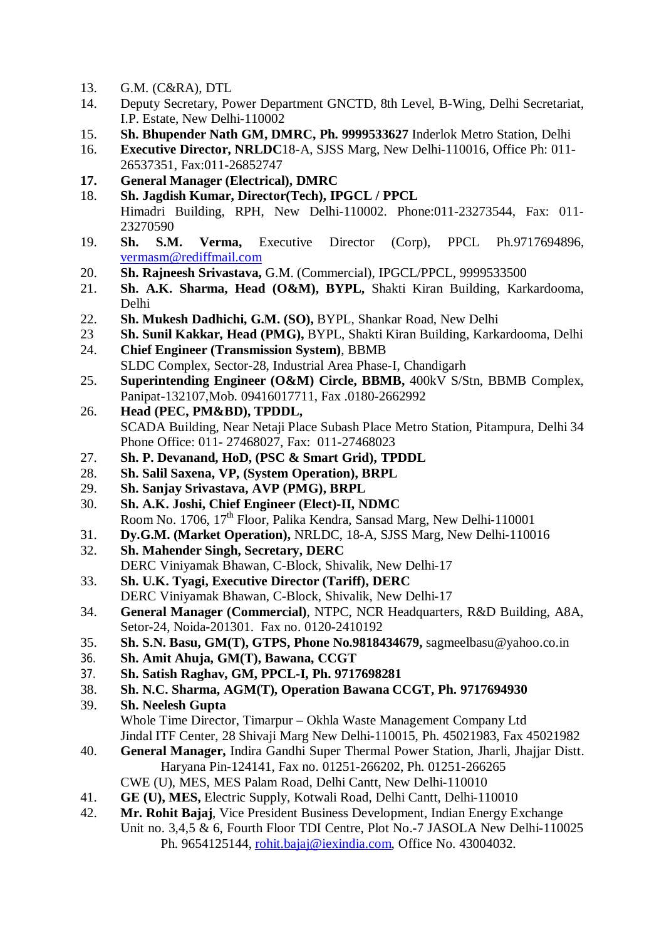- 13. G.M. (C&RA), DTL
- 14. Deputy Secretary, Power Department GNCTD, 8th Level, B-Wing, Delhi Secretariat, I.P. Estate, New Delhi-110002
- 15. **Sh. Bhupender Nath GM, DMRC, Ph. 9999533627** Inderlok Metro Station, Delhi

16. **Executive Director, NRLDC**18-A, SJSS Marg, New Delhi-110016, Office Ph: 011- 26537351, Fax:011-26852747

- **17. General Manager (Electrical), DMRC**
- 18. **Sh. Jagdish Kumar, Director(Tech), IPGCL / PPCL** Himadri Building, RPH, New Delhi-110002. Phone:011-23273544, Fax: 011- 23270590
- 19. **Sh. S.M. Verma,** Executive Director (Corp), PPCL Ph.9717694896, vermasm@rediffmail.com
- 20. **Sh. Rajneesh Srivastava,** G.M. (Commercial), IPGCL/PPCL, 9999533500
- 21. **Sh. A.K. Sharma, Head (O&M), BYPL,** Shakti Kiran Building, Karkardooma, Delhi
- 22. **Sh. Mukesh Dadhichi, G.M. (SO),** BYPL, Shankar Road, New Delhi
- 23 **Sh. Sunil Kakkar, Head (PMG),** BYPL, Shakti Kiran Building, Karkardooma, Delhi
- 24. **Chief Engineer (Transmission System)**, BBMB SLDC Complex, Sector-28, Industrial Area Phase-I, Chandigarh
- 25. **Superintending Engineer (O&M) Circle, BBMB,** 400kV S/Stn, BBMB Complex, Panipat-132107,Mob. 09416017711, Fax .0180-2662992
- 26. **Head (PEC, PM&BD), TPDDL,** SCADA Building, Near Netaji Place Subash Place Metro Station, Pitampura, Delhi 34 Phone Office: 011- 27468027, Fax: 011-27468023
- 27. **Sh. P. Devanand, HoD, (PSC & Smart Grid), TPDDL**
- 28. **Sh. Salil Saxena, VP, (System Operation), BRPL**
- 29. **Sh. Sanjay Srivastava, AVP (PMG), BRPL**
- 30. **Sh. A.K. Joshi, Chief Engineer (Elect)-II, NDMC** Room No. 1706, 17<sup>th</sup> Floor, Palika Kendra, Sansad Marg, New Delhi-110001
- 31. **Dy.G.M. (Market Operation),** NRLDC, 18-A, SJSS Marg, New Delhi-110016
- 32. **Sh. Mahender Singh, Secretary, DERC** DERC Viniyamak Bhawan, C-Block, Shivalik, New Delhi-17
- 33. **Sh. U.K. Tyagi, Executive Director (Tariff), DERC** DERC Viniyamak Bhawan, C-Block, Shivalik, New Delhi-17
- 34. **General Manager (Commercial)**, NTPC, NCR Headquarters, R&D Building, A8A, Setor-24, Noida-201301. Fax no. 0120-2410192
- 35. **Sh. S.N. Basu, GM(T), GTPS, Phone No.9818434679,** sagmeelbasu@yahoo.co.in
- 36. **Sh. Amit Ahuja, GM(T), Bawana, CCGT**
- 37. **Sh. Satish Raghav, GM, PPCL-I, Ph. 9717698281**
- 38. **Sh. N.C. Sharma, AGM(T), Operation Bawana CCGT, Ph. 9717694930**
- 39. **Sh. Neelesh Gupta** Whole Time Director, Timarpur – Okhla Waste Management Company Ltd Jindal ITF Center, 28 Shivaji Marg New Delhi-110015, Ph. 45021983, Fax 45021982
- 40. **General Manager,** Indira Gandhi Super Thermal Power Station, Jharli, Jhajjar Distt. Haryana Pin-124141, Fax no. 01251-266202, Ph. 01251-266265
	- CWE (U), MES, MES Palam Road, Delhi Cantt, New Delhi-110010
- 41. **GE (U), MES, Electric Supply, Kotwali Road, Delhi Cantt, Delhi-110010**<br>42. **Mr. Rohit Baiai.** Vice President Business Development. Indian Energy Ez
- 42. **Mr. Rohit Bajaj**, Vice President Business Development, Indian Energy Exchange Unit no. 3,4,5 & 6, Fourth Floor TDI Centre, Plot No.-7 JASOLA New Delhi-110025 Ph. 9654125144, rohit.bajaj@iexindia.com, Office No. 43004032.